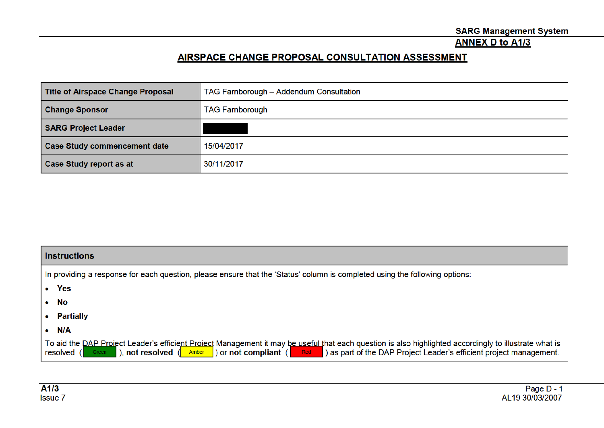### **ANNEX D to A1/3**

# AIRSPACE CHANGE PROPOSAL CONSULTATION ASSESSMENT

| <b>Title of Airspace Change Proposal</b> | TAG Farnborough - Addendum Consultation |
|------------------------------------------|-----------------------------------------|
| <b>Change Sponsor</b>                    | <b>TAG Farnborough</b>                  |
| <b>SARG Project Leader</b>               |                                         |
| <b>Case Study commencement date</b>      | 15/04/2017                              |
| Case Study report as at                  | 30/11/2017                              |

| <b>Instructions</b>                                                                                                                                                                                                                                                                                                              |  |  |  |
|----------------------------------------------------------------------------------------------------------------------------------------------------------------------------------------------------------------------------------------------------------------------------------------------------------------------------------|--|--|--|
| In providing a response for each question, please ensure that the 'Status' column is completed using the following options:                                                                                                                                                                                                      |  |  |  |
| • Yes                                                                                                                                                                                                                                                                                                                            |  |  |  |
| $\bullet$ No                                                                                                                                                                                                                                                                                                                     |  |  |  |
| <b>Partially</b>                                                                                                                                                                                                                                                                                                                 |  |  |  |
| N/A                                                                                                                                                                                                                                                                                                                              |  |  |  |
| To aid the DAP Project Leader's efficient Project Management it may be useful that each question is also highlighted accordingly to illustrate what is<br>a ) as part of the DAP Project Leader's efficient project management.<br>), not resolved $($ Amber<br>$\vert$ ) or not compliant ( $\vert$ Red<br>resolved (1<br>Green |  |  |  |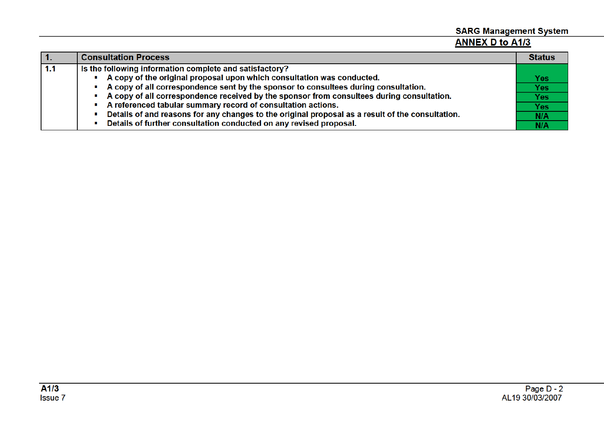# **SARG Management System ANNEX D to A1/3**

|     | <b>Consultation Process</b>                                                                      | <b>Status</b> |
|-----|--------------------------------------------------------------------------------------------------|---------------|
| 1.1 | Is the following information complete and satisfactory?                                          |               |
|     | A copy of the original proposal upon which consultation was conducted.                           | Yes:          |
|     | A copy of all correspondence sent by the sponsor to consultees during consultation.              | <b>Yes</b>    |
|     | A copy of all correspondence received by the sponsor from consultees during consultation.        | <b>Yes</b>    |
|     | A referenced tabular summary record of consultation actions.                                     | <b>Yes</b>    |
|     | Details of and reasons for any changes to the original proposal as a result of the consultation. | N/A           |
|     | Details of further consultation conducted on any revised proposal.                               | N/A           |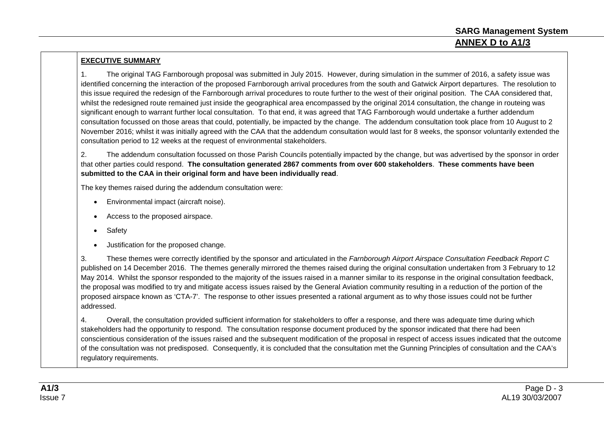### **EXECUTIVE SUMMARY**

1. The original TAG Farnborough proposal was submitted in July 2015. However, during simulation in the summer of 2016, a safety issue was identified concerning the interaction of the proposed Farnborough arrival procedures from the south and Gatwick Airport departures. The resolution to this issue required the redesign of the Farnborough arrival procedures to route further to the west of their original position. The CAA considered that, whilst the redesigned route remained just inside the geographical area encompassed by the original 2014 consultation, the change in routeing was significant enough to warrant further local consultation. To that end, it was agreed that TAG Farnborough would undertake a further addendum consultation focussed on those areas that could, potentially, be impacted by the change. The addendum consultation took place from 10 August to 2 November 2016; whilst it was initially agreed with the CAA that the addendum consultation would last for 8 weeks, the sponsor voluntarily extended the consultation period to 12 weeks at the request of environmental stakeholders.

2. The addendum consultation focussed on those Parish Councils potentially impacted by the change, but was advertised by the sponsor in order that other parties could respond. **The consultation generated 2867 comments from over 600 stakeholders**. **These comments have been submitted to the CAA in their original form and have been individually read**.

The key themes raised during the addendum consultation were:

- Environmental impact (aircraft noise).
- Access to the proposed airspace.
- Safety
- Justification for the proposed change.

3. These themes were correctly identified by the sponsor and articulated in the *Farnborough Airport Airspace Consultation Feedback Report C* published on 14 December 2016. The themes generally mirrored the themes raised during the original consultation undertaken from 3 February to 12 May 2014. Whilst the sponsor responded to the majority of the issues raised in a manner similar to its response in the original consultation feedback, the proposal was modified to try and mitigate access issues raised by the General Aviation community resulting in a reduction of the portion of the proposed airspace known as 'CTA-7'. The response to other issues presented a rational argument as to why those issues could not be further addressed.

4. Overall, the consultation provided sufficient information for stakeholders to offer a response, and there was adequate time during which stakeholders had the opportunity to respond. The consultation response document produced by the sponsor indicated that there had been conscientious consideration of the issues raised and the subsequent modification of the proposal in respect of access issues indicated that the outcome of the consultation was not predisposed. Consequently, it is concluded that the consultation met the Gunning Principles of consultation and the CAA's regulatory requirements.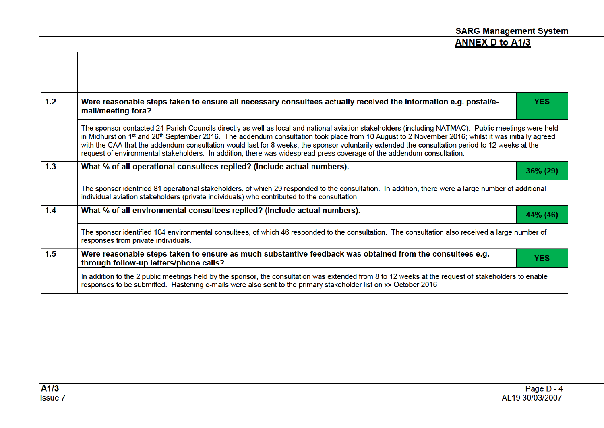٦

| 1.2 | Were reasonable steps taken to ensure all necessary consultees actually received the information e.g. postal/e-<br>mail/meeting fora?                                                                                                                                                                                                                                                                                                                                                                                                                                                 | <b>YES</b> |  |
|-----|---------------------------------------------------------------------------------------------------------------------------------------------------------------------------------------------------------------------------------------------------------------------------------------------------------------------------------------------------------------------------------------------------------------------------------------------------------------------------------------------------------------------------------------------------------------------------------------|------------|--|
|     | The sponsor contacted 24 Parish Councils directly as well as local and national aviation stakeholders (including NATMAC). Public meetings were held<br>in Midhurst on 1st and 20th September 2016. The addendum consultation took place from 10 August to 2 November 2016; whilst it was initially agreed<br>with the CAA that the addendum consultation would last for 8 weeks, the sponsor voluntarily extended the consultation period to 12 weeks at the<br>request of environmental stakeholders. In addition, there was widespread press coverage of the addendum consultation. |            |  |
| 1.3 | What % of all operational consultees replied? (Include actual numbers).                                                                                                                                                                                                                                                                                                                                                                                                                                                                                                               | 36% (29)   |  |
|     | The sponsor identified 81 operational stakeholders, of which 29 responded to the consultation. In addition, there were a large number of additional<br>individual aviation stakeholders (private individuals) who contributed to the consultation.                                                                                                                                                                                                                                                                                                                                    |            |  |
| 1.4 | What % of all environmental consultees replied? (Include actual numbers).                                                                                                                                                                                                                                                                                                                                                                                                                                                                                                             | 44% (46)   |  |
|     | The sponsor identified 104 environmental consultees, of which 46 responded to the consultation. The consultation also received a large number of<br>responses from private individuals.                                                                                                                                                                                                                                                                                                                                                                                               |            |  |
| 1.5 | Were reasonable steps taken to ensure as much substantive feedback was obtained from the consultees e.g.<br>through follow-up letters/phone calls?                                                                                                                                                                                                                                                                                                                                                                                                                                    | <b>YES</b> |  |
|     | In addition to the 2 public meetings held by the sponsor, the consultation was extended from 8 to 12 weeks at the request of stakeholders to enable<br>responses to be submitted. Hastening e-mails were also sent to the primary stakeholder list on xx October 2016                                                                                                                                                                                                                                                                                                                 |            |  |

 $\Gamma$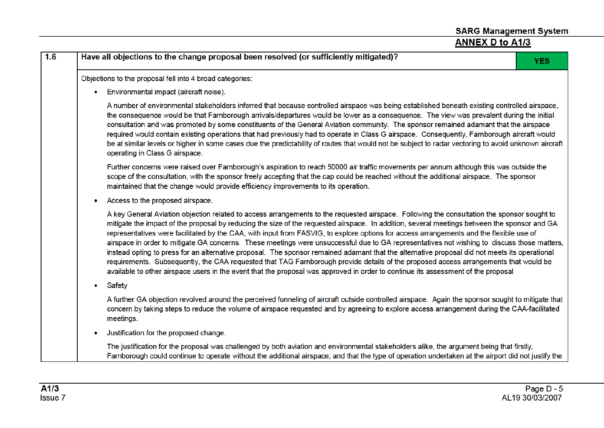| <b>ANNEX D to A1/3</b>                                                                                                                                                                                                                                                                                                                                                                                                                                                                                                                                                                                                                                                                                                                                                                                                                                                                                                                                                                                              |            |
|---------------------------------------------------------------------------------------------------------------------------------------------------------------------------------------------------------------------------------------------------------------------------------------------------------------------------------------------------------------------------------------------------------------------------------------------------------------------------------------------------------------------------------------------------------------------------------------------------------------------------------------------------------------------------------------------------------------------------------------------------------------------------------------------------------------------------------------------------------------------------------------------------------------------------------------------------------------------------------------------------------------------|------------|
| Have all objections to the change proposal been resolved (or sufficiently mitigated)?                                                                                                                                                                                                                                                                                                                                                                                                                                                                                                                                                                                                                                                                                                                                                                                                                                                                                                                               | <b>YES</b> |
| Objections to the proposal fell into 4 broad categories:                                                                                                                                                                                                                                                                                                                                                                                                                                                                                                                                                                                                                                                                                                                                                                                                                                                                                                                                                            |            |
| Environmental impact (aircraft noise).                                                                                                                                                                                                                                                                                                                                                                                                                                                                                                                                                                                                                                                                                                                                                                                                                                                                                                                                                                              |            |
| A number of environmental stakeholders inferred that because controlled airspace was being established beneath existing controlled airspace,<br>the consequence would be that Farnborough arrivals/departures would be lower as a consequence. The view was prevalent during the initial<br>consultation and was promoted by some constituents of the General Aviation community. The sponsor remained adamant that the airspace<br>required would contain existing operations that had previously had to operate in Class G airspace. Consequently, Farnborough aircraft would<br>be at similar levels or higher in some cases due the predictability of routes that would not be subject to radar vectoring to avoid unknown aircraft<br>operating in Class G airspace.                                                                                                                                                                                                                                           |            |
| Further concerns were raised over Farnborough's aspiration to reach 50000 air traffic movements per annum although this was outside the<br>scope of the consultation, with the sponsor freely accepting that the cap could be reached without the additional airspace. The sponsor<br>maintained that the change would provide efficiency improvements to its operation.                                                                                                                                                                                                                                                                                                                                                                                                                                                                                                                                                                                                                                            |            |
| Access to the proposed airspace.                                                                                                                                                                                                                                                                                                                                                                                                                                                                                                                                                                                                                                                                                                                                                                                                                                                                                                                                                                                    |            |
| A key General Aviation objection related to access arrangements to the requested airspace. Following the consultation the sponsor sought to<br>mitigate the impact of the proposal by reducing the size of the requested airspace. In addition, several meetings between the sponsor and GA<br>representatives were facilitated by the CAA, with input from FASVIG, to explore options for access arrangements and the flexible use of<br>airspace in order to mitigate GA concerns. These meetings were unsuccessful due to GA representatives not wishing to discuss those matters,<br>instead opting to press for an alternative proposal. The sponsor remained adamant that the alternative proposal did not meets its operational<br>requirements. Subsequently, the CAA requested that TAG Farnborough provide details of the proposed access arrangements that would be<br>available to other airspace users in the event that the proposal was approved in order to continue its assessment of the proposal |            |
| <b>Safety</b>                                                                                                                                                                                                                                                                                                                                                                                                                                                                                                                                                                                                                                                                                                                                                                                                                                                                                                                                                                                                       |            |
| A further GA objection revolved around the perceived funneling of aircraft outside controlled airspace. Again the sponsor sought to mitigate that<br>concern by taking steps to reduce the volume of airspace requested and by agreeing to explore access arrangement during the CAA-facilitated<br>meetings.                                                                                                                                                                                                                                                                                                                                                                                                                                                                                                                                                                                                                                                                                                       |            |
| Justification for the proposed change.                                                                                                                                                                                                                                                                                                                                                                                                                                                                                                                                                                                                                                                                                                                                                                                                                                                                                                                                                                              |            |
| The justification for the proposal was challenged by both aviation and environmental stakeholders alike, the argument being that firstly,<br>Farnborough could continue to operate without the additional airspace, and that the type of operation undertaken at the airport did not justify the                                                                                                                                                                                                                                                                                                                                                                                                                                                                                                                                                                                                                                                                                                                    |            |

**SARG Management System** 

 $1.6$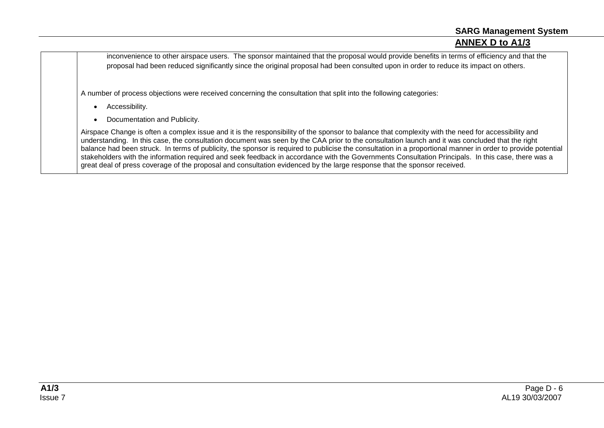inconvenience to other airspace users. The sponsor maintained that the proposal would provide benefits in terms of efficiency and that the proposal had been reduced significantly since the original proposal had been consulted upon in order to reduce its impact on others.

A number of process objections were received concerning the consultation that split into the following categories:

- Accessibility.
- Documentation and Publicity.

Airspace Change is often a complex issue and it is the responsibility of the sponsor to balance that complexity with the need for accessibility and understanding. In this case, the consultation document was seen by the CAA prior to the consultation launch and it was concluded that the right balance had been struck. In terms of publicity, the sponsor is required to publicise the consultation in a proportional manner in order to provide potential stakeholders with the information required and seek feedback in accordance with the Governments Consultation Principals. In this case, there was a great deal of press coverage of the proposal and consultation evidenced by the large response that the sponsor received.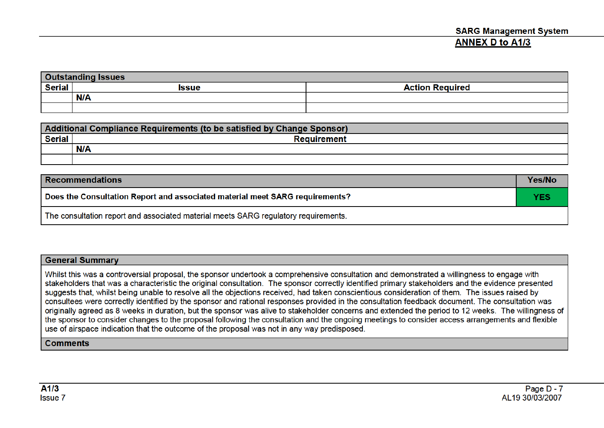| <b>Outstanding Issues</b> |              |                        |  |
|---------------------------|--------------|------------------------|--|
| <b>Serial</b>             | <b>Issue</b> | <b>Action Required</b> |  |
|                           | N/A          |                        |  |
|                           |              |                        |  |

| Additional Compliance Requirements (to be satisfied by Change Sponsor) |                    |  |
|------------------------------------------------------------------------|--------------------|--|
| <b>Serial</b>                                                          | <b>Requirement</b> |  |
|                                                                        | <b>N/A</b>         |  |
|                                                                        |                    |  |

| <b>Recommendations</b>                                                              | Yes/No     |
|-------------------------------------------------------------------------------------|------------|
| Does the Consultation Report and associated material meet SARG requirements?        | <b>YES</b> |
| The consultation report and associated material meets SARG regulatory requirements. |            |

### **General Summary**

Whilst this was a controversial proposal, the sponsor undertook a comprehensive consultation and demonstrated a willingness to engage with stakeholders that was a characteristic the original consultation. The sponsor correctly identified primary stakeholders and the evidence presented suggests that, whilst being unable to resolve all the objections received, had taken conscientious consideration of them. The issues raised by consultees were correctly identified by the sponsor and rational responses provided in the consultation feedback document. The consultation was originally agreed as 8 weeks in duration, but the sponsor was alive to stakeholder concerns and extended the period to 12 weeks. The willingness of the sponsor to consider changes to the proposal following the consultation and the ongoing meetings to consider access arrangements and flexible use of airspace indication that the outcome of the proposal was not in any way predisposed.

#### **Comments**